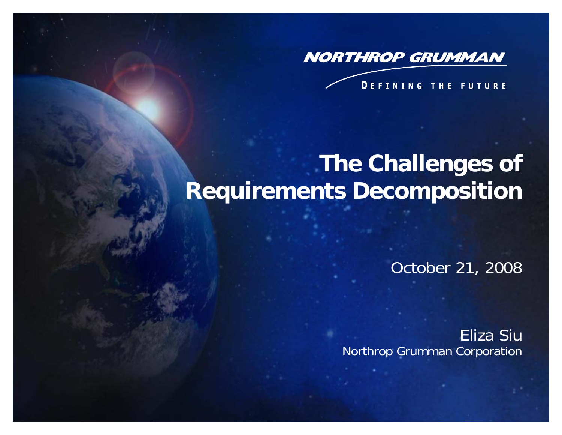

#### **DEFINING THE FUTURE**

## **The Challenges of Requirements Decomposition**

October 21, 2008

Eliza Siu Northrop Grumman Corporation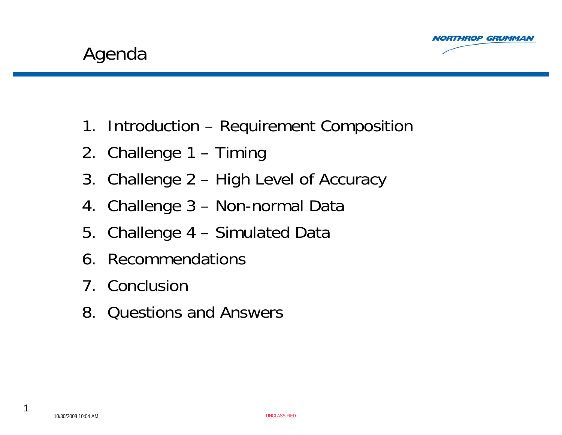



- 1. Introduction Requirement Composition
- 2. Challenge 1 Timing
- 3. Challenge 2 High Level of Accuracy
- 4. Challenge 3 Non-normal Data
- 5. Challenge 4 Simulated Data
- 6. Recommendations
- 7. Conclusion
- 8. Questions and Answers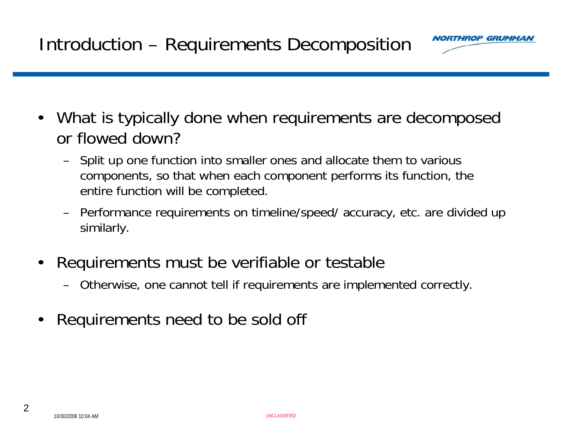

- $\bullet$  What is typically done when requirements are decomposed or flowed down?
	- Split up one function into smaller ones and allocate them to various components, so that when each component performs its function, the entire function will be completed.
	- Performance requirements on timeline/speed/ accuracy, etc. are divided up similarly.
- • Requirements must be verifiable or testable
	- Otherwise, one cannot tell if requirements are implemented correctly.
- •Requirements need to be sold off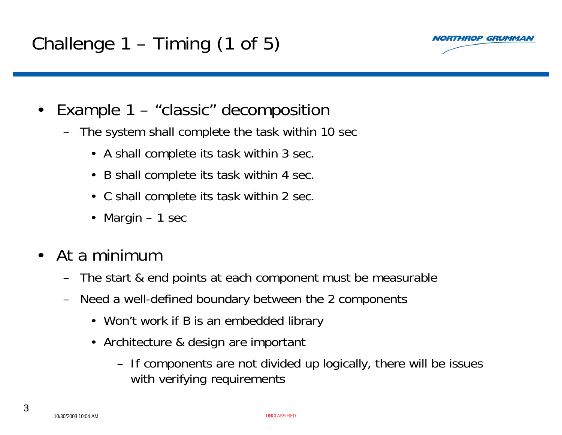## Challenge 1 – Timing (1 of 5)



- $\bullet$  Example 1 – "classic" decomposition
	- The system shall complete the task within 10 sec
		- A shall complete its task within 3 sec.
		- B shall complete its task within 4 sec.
		- C shall complete its task within 2 sec.
		- Margin 1 sec
- • At a minimum
	- The start & end points at each component must be measurable
	- Need a well-defined boundary between the 2 components
		- Won't work if B is an embedded library
		- Architecture & design are important
			- If components are not divided up logically, there will be issues with verifying requirements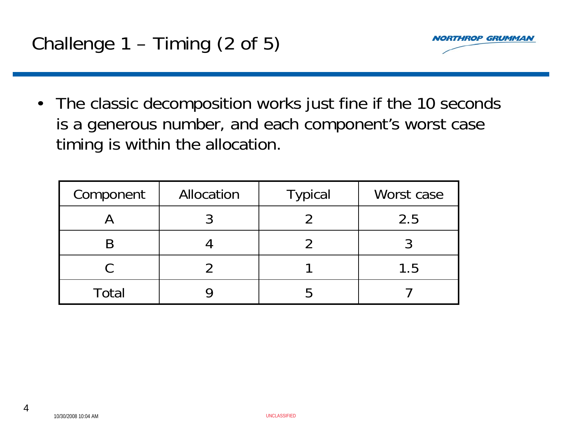

• The classic decomposition works just fine if the 10 seconds is a generous number, and each component's worst case timing is within the allocation.

| Component | Allocation | <b>Typical</b> | Worst case |
|-----------|------------|----------------|------------|
|           |            |                | 2.5        |
|           |            |                |            |
|           |            |                | 1.5        |
| Total     |            |                |            |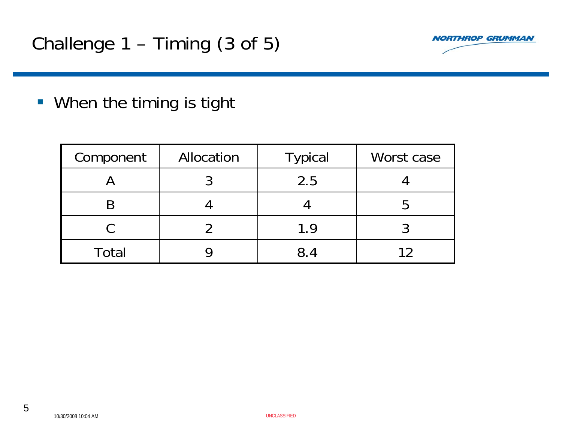

**When the timing is tight** 

| Component    | Allocation | <b>Typical</b> | Worst case |
|--------------|------------|----------------|------------|
|              |            | 2.5            |            |
|              |            |                |            |
|              |            | 1.9            |            |
| <b>Total</b> |            | 8.4            |            |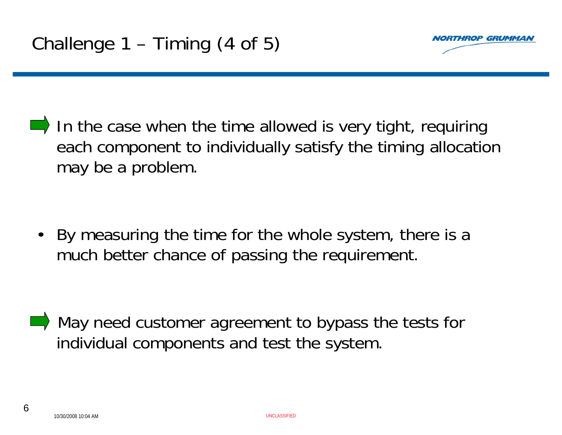

 In the case when the time allowed is very tight, requiring each component to individually satisfy the timing allocation may be a problem.

 $\bullet$  By measuring the time for the whole system, there is a much better chance of passing the requirement.

May need customer agreement to bypass the tests for individual components and test the system.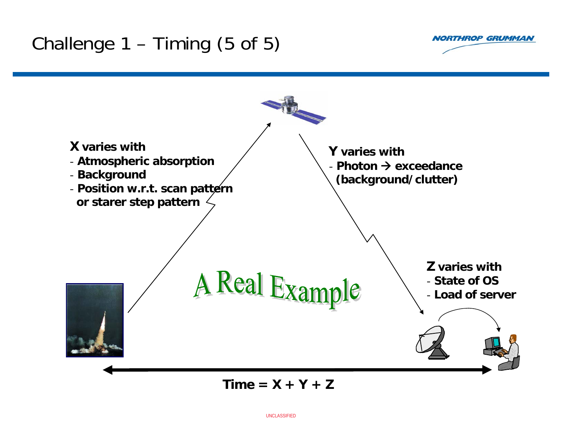### Challenge  $1 -$  Timing (5 of 5)





 $Time = X + Y + Z$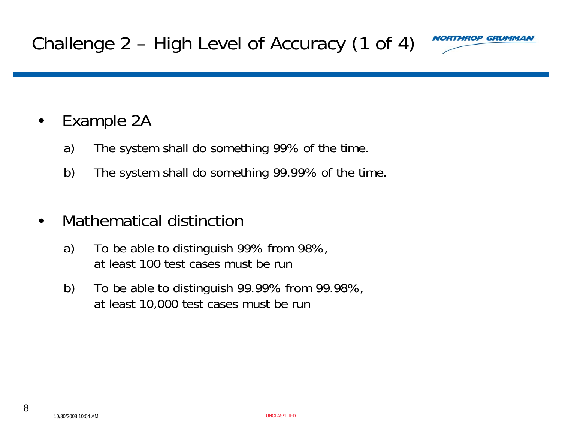

#### •Example 2A

- a) The system shall do something 99% of the time.
- b) The system shall do something 99.99% of the time.

#### •Mathematical distinction

- a) To be able to distinguish 99% from 98%, at least 100 test cases must be run
- b) To be able to distinguish 99.99% from 99.98%, at least 10,000 test cases must be run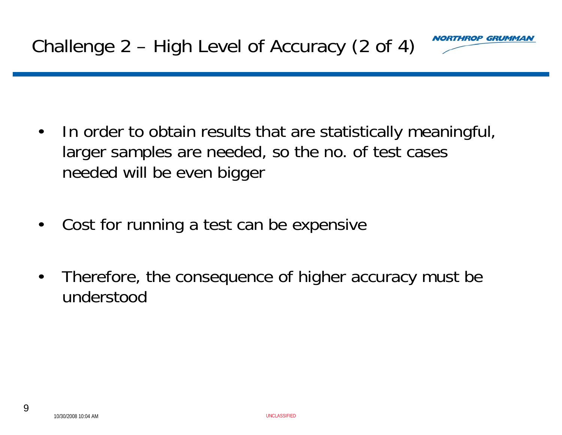

- $\bullet$  In order to obtain results that are statistically meaningful, larger samples are needed, so the no. of test cases needed will be even bigger
- •Cost for running a test can be expensive
- • Therefore, the consequence of higher accuracy must be understood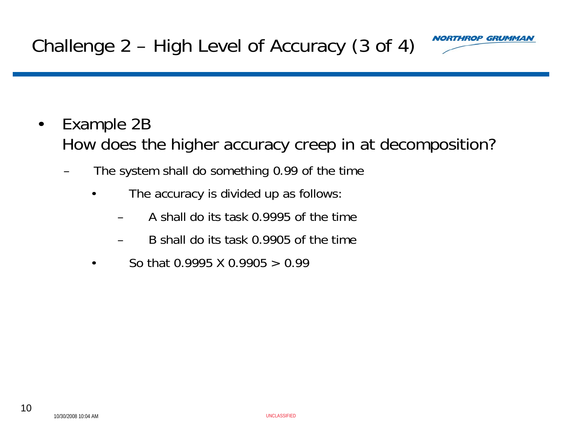

- • Example 2B How does the higher accuracy creep in at decomposition?
	- The system shall do something 0.99 of the time
		- • The accuracy is divided up as follows:
			- A shall do its task 0.9995 of the time
			- B shall do its task 0.9905 of the time
		- •So that 0.9995 X 0.9905 > 0.99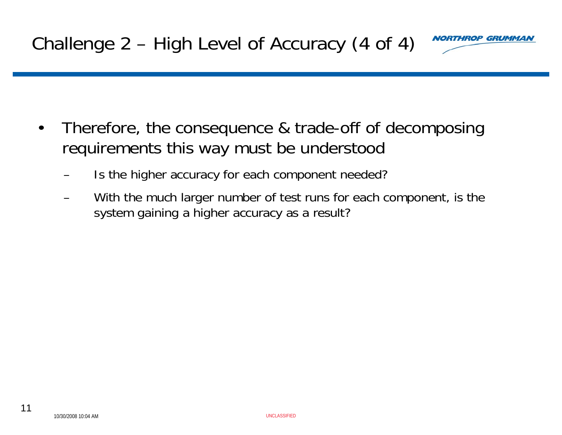

- • Therefore, the consequence & trade-off of decomposing requirements this way must be understood
	- Is the higher accuracy for each component needed?
	- With the much larger number of test runs for each component, is the system gaining a higher accuracy as a result?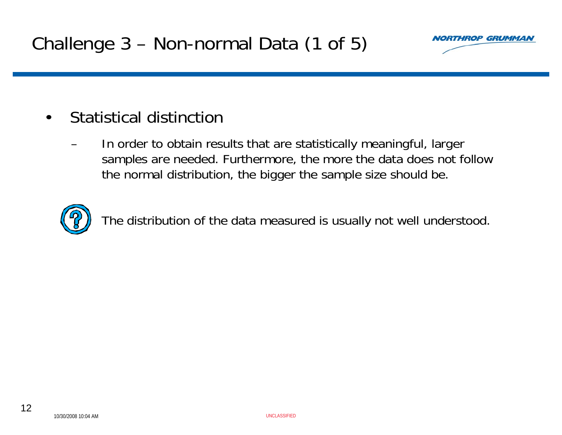

#### $\bullet$ Statistical distinction

 In order to obtain results that are statistically meaningful, larger samples are needed. Furthermore, the more the data does not follow the normal distribution, the bigger the sample size should be.



The distribution of the data measured is usually not well understood.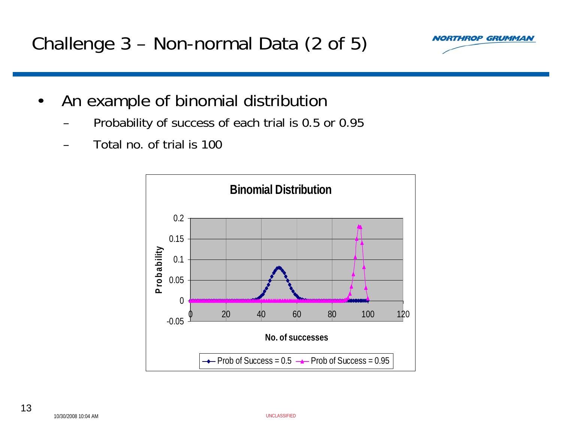### Challenge 3 – Non-normal Data (2 of 5)



- • An example of binomial distribution
	- Probability of success of each trial is 0.5 or 0.95
	- Total no. of trial is 100

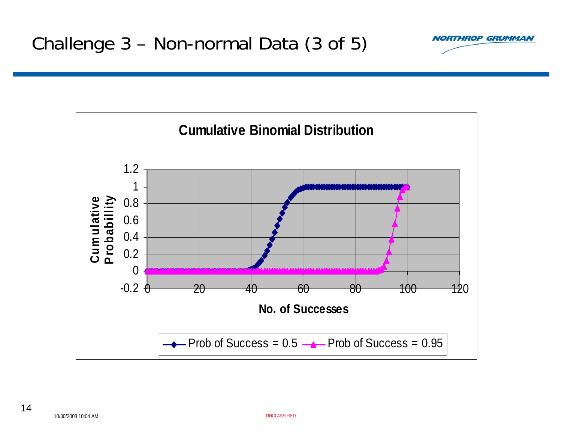

**RTHROP GRUMMAN**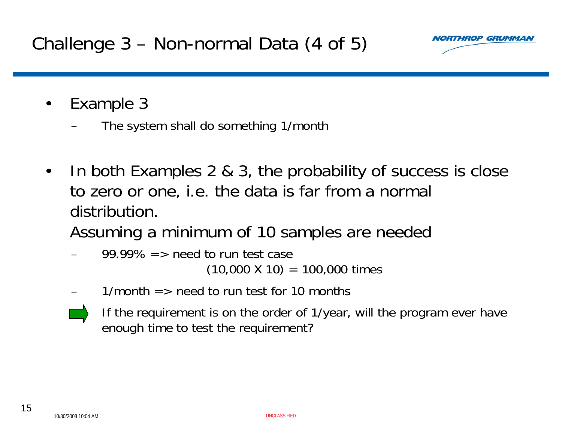Challenge 3 – Non-normal Data (4 of 5)



- • Example 3
	- The system shall do something 1/month
- • In both Examples 2 & 3, the probability of success is close to zero or one, i.e. the data is far from a normal distribution.
	- Assuming a minimum of 10 samples are needed
	- 99.99%  $\Rightarrow$  need to run test case  $(10,000 \times 10) = 100,000 \times 100$
	- $1/m$ onth  $=$  > need to run test for 10 months
	- If the requirement is on the order of 1/year, will the program ever have enough time to test the requirement?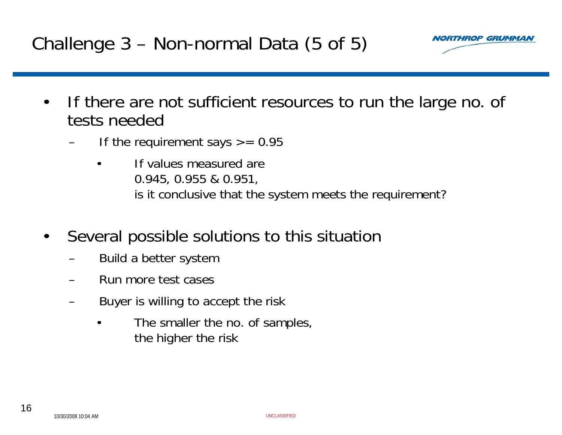### Challenge 3 – Non-normal Data (5 of 5)



- • If there are not sufficient resources to run the large no. of tests needed
	- If the requirement says  $\epsilon$  = 0.95
		- • If values measured are 0.945, 0.955 & 0.951, is it conclusive that the system meets the requirement?
- • Several possible solutions to this situation
	- Build a better system
	- Run more test cases
	- Buyer is willing to accept the risk
		- • The smaller the no. of samples, the higher the risk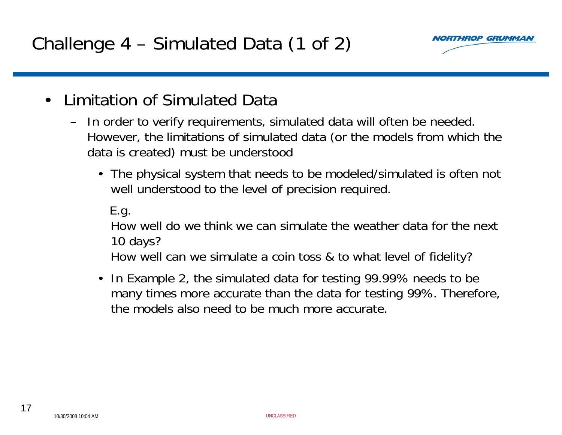

- • Limitation of Simulated Data
	- In order to verify requirements, simulated data will often be needed. However, the limitations of simulated data (or the models from which the data is created) must be understood
		- The physical system that needs to be modeled/simulated is often not well understood to the level of precision required.

E.g.

How well do we think we can simulate the weather data for the next 10 days?

How well can we simulate a coin toss & to what level of fidelity?

• In Example 2, the simulated data for testing 99.99% needs to be many times more accurate than the data for testing 99%. Therefore, the models also need to be much more accurate.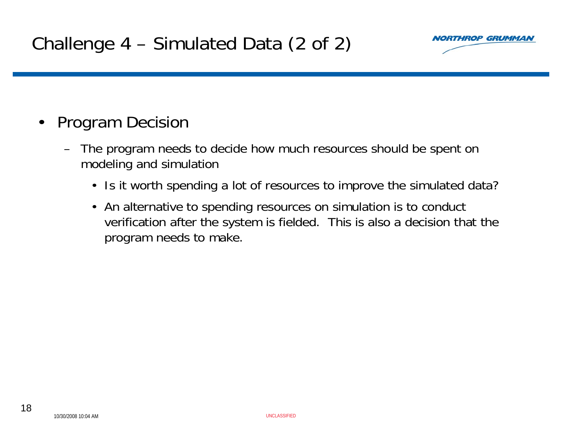

#### •Program Decision

- The program needs to decide how much resources should be spent on modeling and simulation
	- Is it worth spending a lot of resources to improve the simulated data?
	- An alternative to spending resources on simulation is to conduct verification after the system is fielded. This is also a decision that the program needs to make.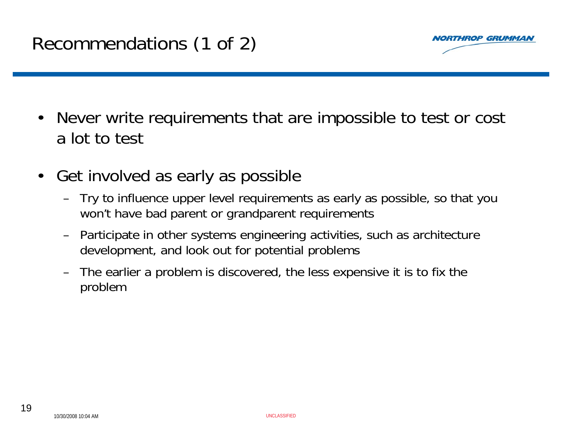

- $\bullet$  Never write requirements that are impossible to test or cost a lot to test
- $\bullet$  Get involved as early as possible
	- Try to influence upper level requirements as early as possible, so that you won't have bad parent or grandparent requirements
	- Participate in other systems engineering activities, such as architecture development, and look out for potential problems
	- The earlier a problem is discovered, the less expensive it is to fix the problem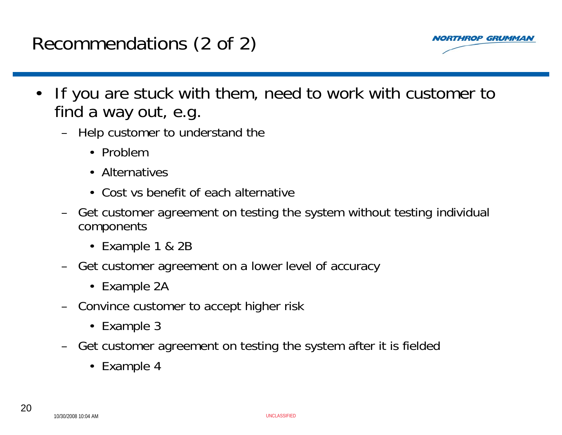### Recommendations (2 of 2)



- • If you are stuck with them, need to work with customer to find a way out, e.g.
	- Help customer to understand the
		- Problem
		- Alternatives
		- Cost vs benefit of each alternative
	- Get customer agreement on testing the system without testing individual components
		- Example 1 & 2B
	- Get customer agreement on a lower level of accuracy
		- Example 2A
	- Convince customer to accept higher risk
		- Example 3
	- Get customer agreement on testing the system after it is fielded
		- Example 4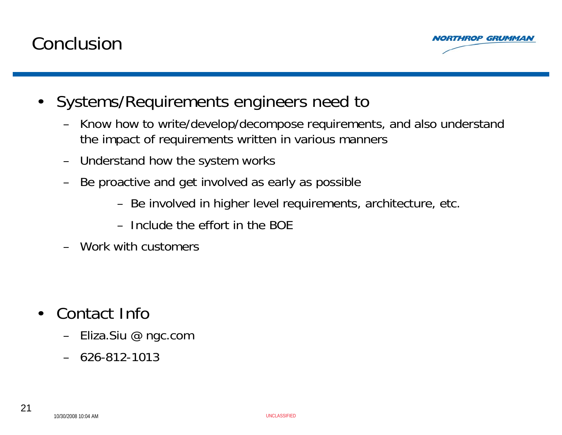### Conclusion



- • Systems/Requirements engineers need to
	- Know how to write/develop/decompose requirements, and also understand the impact of requirements written in various manners
	- Understand how the system works
	- Be proactive and get involved as early as possible
		- Be involved in higher level requirements, architecture, etc.
		- Include the effort in the BOE
	- Work with customers

- • Contact Info
	- Eliza.Siu @ ngc.com
	- 626-812-1013